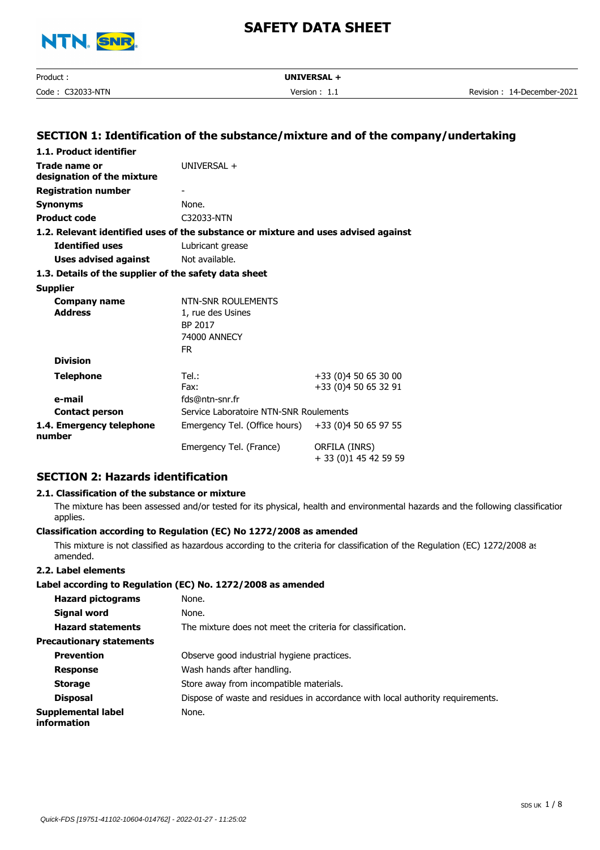

| Product:         | UNIVERSAL +     |                            |
|------------------|-----------------|----------------------------|
| Code: C32033-NTN | Version : $1.1$ | Revision: 14-December-2021 |
|                  |                 |                            |
|                  |                 |                            |
|                  |                 |                            |

## **SECTION 1: Identification of the substance/mixture and of the company/undertaking**

| 1.1. Product identifier                               |                                                                                    |                                        |
|-------------------------------------------------------|------------------------------------------------------------------------------------|----------------------------------------|
| Trade name or<br>designation of the mixture           | UNIVERSAL +                                                                        |                                        |
| <b>Registration number</b>                            |                                                                                    |                                        |
| <b>Synonyms</b>                                       | None.                                                                              |                                        |
| <b>Product code</b>                                   | C32033-NTN                                                                         |                                        |
|                                                       | 1.2. Relevant identified uses of the substance or mixture and uses advised against |                                        |
| <b>Identified uses</b>                                | Lubricant grease                                                                   |                                        |
| Uses advised against                                  | Not available.                                                                     |                                        |
| 1.3. Details of the supplier of the safety data sheet |                                                                                    |                                        |
| <b>Supplier</b>                                       |                                                                                    |                                        |
| Company name                                          | NTN-SNR ROULEMENTS                                                                 |                                        |
| <b>Address</b>                                        | 1, rue des Usines                                                                  |                                        |
|                                                       | BP 2017                                                                            |                                        |
|                                                       | 74000 ANNECY                                                                       |                                        |
|                                                       | FR.                                                                                |                                        |
| <b>Division</b>                                       |                                                                                    |                                        |
| Telephone                                             | Tel.:                                                                              | +33 (0)4 50 65 30 00                   |
|                                                       | Fax:                                                                               | +33 (0)4 50 65 32 91                   |
| e-mail                                                | fds@ntn-snr.fr                                                                     |                                        |
| <b>Contact person</b>                                 | Service Laboratoire NTN-SNR Roulements                                             |                                        |
| 1.4. Emergency telephone<br>number                    | Emergency Tel. (Office hours) +33 (0)4 50 65 97 55                                 |                                        |
|                                                       | Emergency Tel. (France)                                                            | ORFILA (INRS)<br>+ 33 (0)1 45 42 59 59 |

## **SECTION 2: Hazards identification**

#### **2.1. Classification of the substance or mixture**

The mixture has been assessed and/or tested for its physical, health and environmental hazards and the following classification applies.

#### **Classification according to Regulation (EC) No 1272/2008 as amended**

This mixture is not classified as hazardous according to the criteria for classification of the Regulation (EC) 1272/2008 as amended.

#### **2.2. Label elements**

#### **Label according to Regulation (EC) No. 1272/2008 as amended**

| <b>Hazard pictograms</b>          | None.                                                                          |
|-----------------------------------|--------------------------------------------------------------------------------|
| <b>Signal word</b>                | None.                                                                          |
| <b>Hazard statements</b>          | The mixture does not meet the criteria for classification.                     |
| <b>Precautionary statements</b>   |                                                                                |
| <b>Prevention</b>                 | Observe good industrial hygiene practices.                                     |
| <b>Response</b>                   | Wash hands after handling.                                                     |
| <b>Storage</b>                    | Store away from incompatible materials.                                        |
| <b>Disposal</b>                   | Dispose of waste and residues in accordance with local authority requirements. |
| Supplemental label<br>information | None.                                                                          |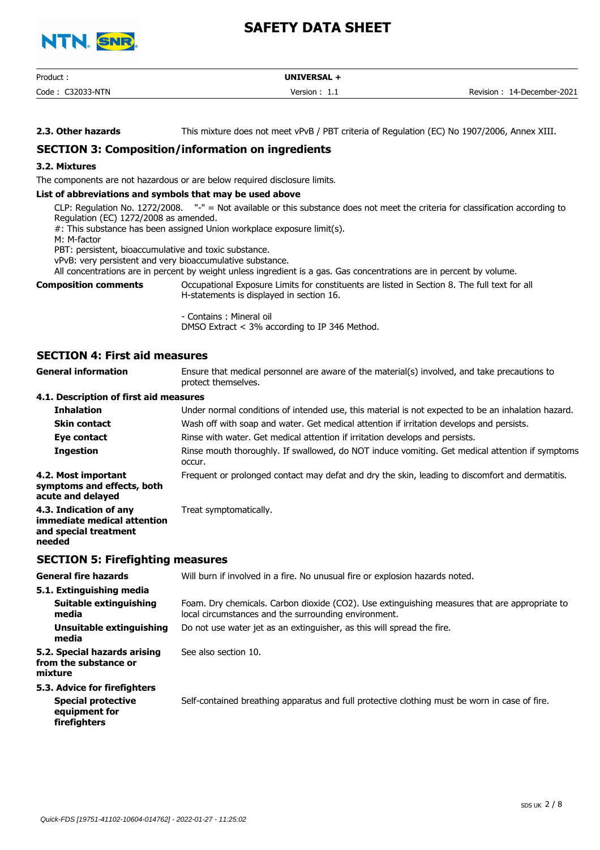

| Product          | <b>UNIVERSAL</b> |                            |
|------------------|------------------|----------------------------|
| Code: C32033-NTN | Version $: 1.1$  | Revision: 14-December-2021 |

**2.3. Other hazards** This mixture does not meet vPvB / PBT criteria of Regulation (EC) No 1907/2006, Annex XIII.

# **SECTION 3: Composition/information on ingredients**

#### **3.2. Mixtures**

The components are not hazardous or are below required disclosure limits.

#### **List of abbreviations and symbols that may be used above**

CLP: Regulation No. 1272/2008. "-" = Not available or this substance does not meet the criteria for classification according to Regulation (EC) 1272/2008 as amended.

#: This substance has been assigned Union workplace exposure limit(s).

M: M-factor

PBT: persistent, bioaccumulative and toxic substance.

vPvB: very persistent and very bioaccumulative substance.

All concentrations are in percent by weight unless ingredient is a gas. Gas concentrations are in percent by volume.

**Composition comments**

Occupational Exposure Limits for constituents are listed in Section 8. The full text for all H-statements is displayed in section 16.

- Contains : Mineral oil DMSO Extract < 3% according to IP 346 Method.

#### **SECTION 4: First aid measures**

Ensure that medical personnel are aware of the material(s) involved, and take precautions to protect themselves. **General information 4.1. Description of first aid measures Inhalation** Under normal conditions of intended use, this material is not expected to be an inhalation hazard. **Skin contact** Wash off with soap and water. Get medical attention if irritation develops and persists. **Eye contact** Rinse with water. Get medical attention if irritation develops and persists. Rinse mouth thoroughly. If swallowed, do NOT induce vomiting. Get medical attention if symptoms occur. **Ingestion 4.2. Most important** Frequent or prolonged contact may defat and dry the skin, leading to discomfort and dermatitis. **symptoms and effects, both acute and delayed 4.3. Indication of any** Treat symptomatically. **immediate medical attention and special treatment**

#### **SECTION 5: Firefighting measures**

**needed**

**General fire hazards** Will burn if involved in a fire. No unusual fire or explosion hazards noted. **5.1. Extinguishing media** Foam. Dry chemicals. Carbon dioxide (CO2). Use extinguishing measures that are appropriate to local circumstances and the surrounding environment. **Suitable extinguishing media Unsuitable extinguishing** Do not use water jet as an extinguisher, as this will spread the fire. **media 5.2. Special hazards arising** See also section 10. **from the substance or mixture 5.3. Advice for firefighters Special protective** Self-contained breathing apparatus and full protective clothing must be worn in case of fire. **equipment for firefighters**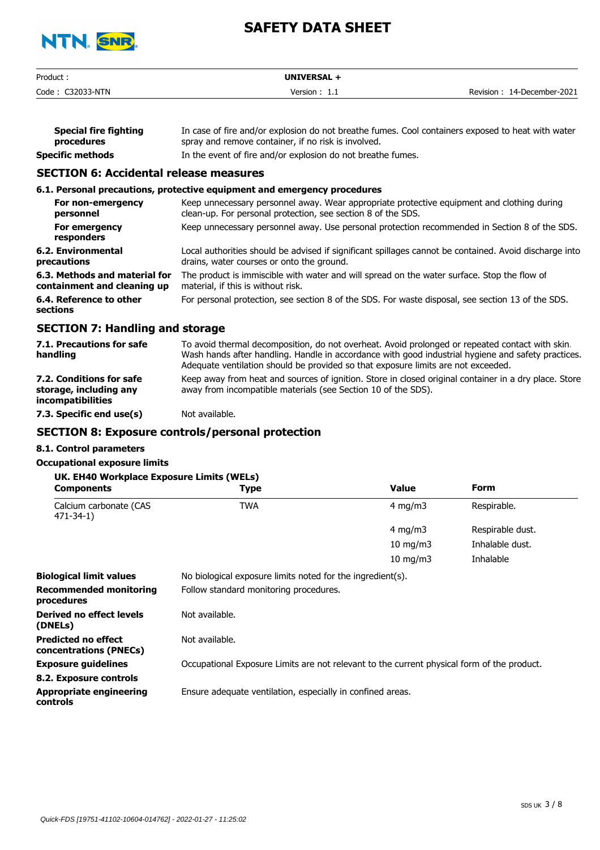

| Product:         | <b>UNIVERSAL</b> |                               |
|------------------|------------------|-------------------------------|
| Code: C32033-NTN | Version:<br>.    | 14-December-2021<br>Revision: |

| <b>Special fire fighting</b> | In case of fire and/or explosion do not breathe fumes. Cool containers exposed to heat with water |
|------------------------------|---------------------------------------------------------------------------------------------------|
| procedures                   | spray and remove container, if no risk is involved.                                               |
| Specific methods             | In the event of fire and/or explosion do not breathe fumes.                                       |

# **SECTION 6: Accidental release measures**

|                                                              | 6.1. Personal precautions, protective equipment and emergency procedures                                                                                   |
|--------------------------------------------------------------|------------------------------------------------------------------------------------------------------------------------------------------------------------|
| For non-emergency<br>personnel                               | Keep unnecessary personnel away. Wear appropriate protective equipment and clothing during<br>clean-up. For personal protection, see section 8 of the SDS. |
| For emergency<br>responders                                  | Keep unnecessary personnel away. Use personal protection recommended in Section 8 of the SDS.                                                              |
| 6.2. Environmental<br>precautions                            | Local authorities should be advised if significant spillages cannot be contained. Avoid discharge into<br>drains, water courses or onto the ground.        |
| 6.3. Methods and material for<br>containment and cleaning up | The product is immiscible with water and will spread on the water surface. Stop the flow of<br>material, if this is without risk.                          |
| 6.4. Reference to other<br>sections                          | For personal protection, see section 8 of the SDS. For waste disposal, see section 13 of the SDS.                                                          |
| ----------                                                   |                                                                                                                                                            |

## **SECTION 7: Handling and storage**

| 7.1. Precautions for safe<br>handling                                          | To avoid thermal decomposition, do not overheat. Avoid prolonged or repeated contact with skin.<br>Wash hands after handling. Handle in accordance with good industrial hygiene and safety practices.<br>Adequate ventilation should be provided so that exposure limits are not exceeded. |
|--------------------------------------------------------------------------------|--------------------------------------------------------------------------------------------------------------------------------------------------------------------------------------------------------------------------------------------------------------------------------------------|
| 7.2. Conditions for safe<br>storage, including any<br><i>incompatibilities</i> | Keep away from heat and sources of ignition. Store in closed original container in a dry place. Store<br>away from incompatible materials (see Section 10 of the SDS).                                                                                                                     |
| 7.3. Specific end use(s)                                                       | Not available.                                                                                                                                                                                                                                                                             |

## **SECTION 8: Exposure controls/personal protection**

#### **8.1. Control parameters**

#### **Occupational exposure limits**

| UK. EH40 Workplace Exposure Limits (WELs)<br><b>Components</b> | Type                                                       | Value             | Form             |
|----------------------------------------------------------------|------------------------------------------------------------|-------------------|------------------|
| Calcium carbonate (CAS<br>$471 - 34 - 1$                       | TWA                                                        | 4 mg/m $3$        | Respirable.      |
|                                                                |                                                            | 4 mg/m $3$        | Respirable dust. |
|                                                                |                                                            | 10 mg/m $3$       | Inhalable dust.  |
|                                                                |                                                            | $10 \text{ mg/m}$ | Inhalable        |
| <b>Biological limit values</b>                                 | No biological exposure limits noted for the ingredient(s). |                   |                  |
| <b>Recommended monitoring</b><br>procedures                    | Follow standard monitoring procedures.                     |                   |                  |
| Derived no effect levels                                       | Not available.                                             |                   |                  |

**Predicted no effect** Not available.

**concentrations (PNECs) Exposure guidelines** Occupational Exposure Limits are not relevant to the current physical form of the product.

**8.2. Exposure controls**

**Appropriate engineering** Ensure adequate ventilation, especially in confined areas.

**controls**

**(DNELs)**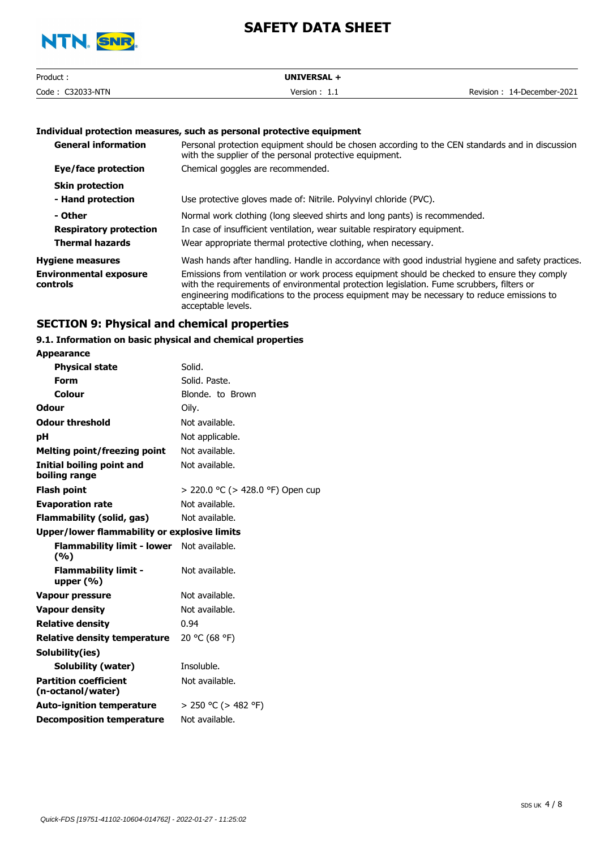

| Product             | <b>UNIVERSAL</b> |                            |
|---------------------|------------------|----------------------------|
| Code:<br>C32033-NTN | Version ' ' '    | Revision: 14-December-2021 |

#### **Individual protection measures, such as personal protective equipment**

| <b>General information</b>                | Personal protection equipment should be chosen according to the CEN standards and in discussion<br>with the supplier of the personal protective equipment.                                                                                                                                                    |
|-------------------------------------------|---------------------------------------------------------------------------------------------------------------------------------------------------------------------------------------------------------------------------------------------------------------------------------------------------------------|
| Eye/face protection                       | Chemical goggles are recommended.                                                                                                                                                                                                                                                                             |
| <b>Skin protection</b>                    |                                                                                                                                                                                                                                                                                                               |
| - Hand protection                         | Use protective gloves made of: Nitrile. Polyvinyl chloride (PVC).                                                                                                                                                                                                                                             |
| - Other                                   | Normal work clothing (long sleeved shirts and long pants) is recommended.                                                                                                                                                                                                                                     |
| <b>Respiratory protection</b>             | In case of insufficient ventilation, wear suitable respiratory equipment.                                                                                                                                                                                                                                     |
| <b>Thermal hazards</b>                    | Wear appropriate thermal protective clothing, when necessary.                                                                                                                                                                                                                                                 |
| <b>Hygiene measures</b>                   | Wash hands after handling. Handle in accordance with good industrial hygiene and safety practices.                                                                                                                                                                                                            |
| <b>Environmental exposure</b><br>controls | Emissions from ventilation or work process equipment should be checked to ensure they comply<br>with the requirements of environmental protection legislation. Fume scrubbers, filters or<br>engineering modifications to the process equipment may be necessary to reduce emissions to<br>acceptable levels. |

## **SECTION 9: Physical and chemical properties**

## **9.1. Information on basic physical and chemical properties**

| <b>Appearance</b>                                   |                                  |
|-----------------------------------------------------|----------------------------------|
| <b>Physical state</b>                               | Solid.                           |
| <b>Form</b>                                         | Solid. Paste.                    |
| Colour                                              | Blonde, to Brown                 |
| Odour                                               | Oily.                            |
| <b>Odour threshold</b>                              | Not available.                   |
| рH                                                  | Not applicable.                  |
| <b>Melting point/freezing point</b>                 | Not available.                   |
| Initial boiling point and<br>boiling range          | Not available.                   |
| <b>Flash point</b>                                  | > 220.0 °C (> 428.0 °F) Open cup |
| <b>Evaporation rate</b>                             | Not available.                   |
| Flammability (solid, gas)                           | Not available.                   |
| <b>Upper/lower flammability or explosive limits</b> |                                  |
| <b>Flammability limit - lower</b><br>(9/0)          | Not available.                   |
| <b>Flammability limit -</b><br>upper $(\% )$        | Not available.                   |
| Vapour pressure                                     | Not available.                   |
| <b>Vapour density</b>                               | Not available.                   |
| <b>Relative density</b>                             | 0.94                             |
| Relative density temperature                        | 20 °C (68 °F)                    |
| Solubility(ies)                                     |                                  |
| Solubility (water)                                  | Insoluble.                       |
| <b>Partition coefficient</b><br>(n-octanol/water)   | Not available.                   |
| <b>Auto-ignition temperature</b>                    | $> 250$ °C ( $> 482$ °F)         |
| <b>Decomposition temperature</b>                    | Not available.                   |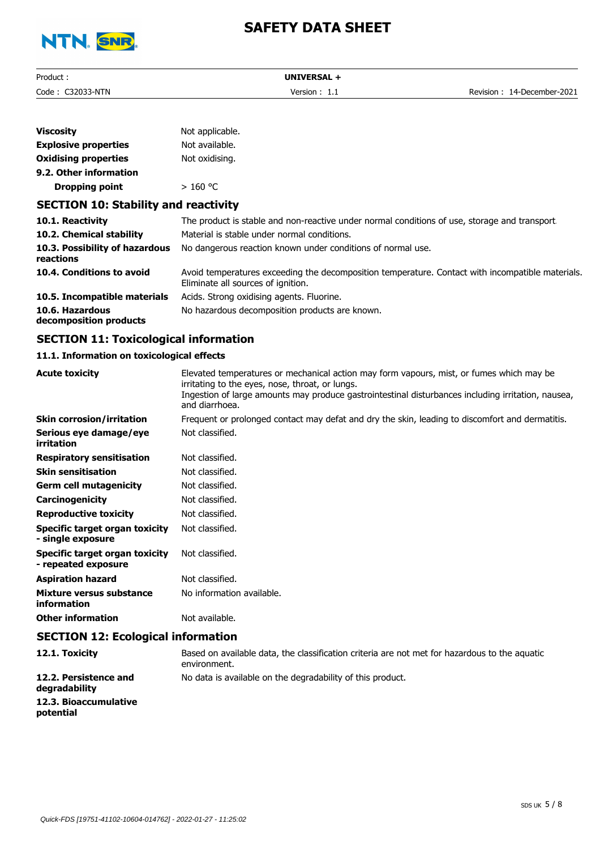

| Product:   | <b>UNIVERSAL</b> |                  |
|------------|------------------|------------------|
| Code: 0    | Version :        | 14-December-2021 |
| C32033-NTN | .                | Revision         |

| <b>Viscosity</b>                            | Not applicable.                                                                                                                        |
|---------------------------------------------|----------------------------------------------------------------------------------------------------------------------------------------|
| <b>Explosive properties</b>                 | Not available.                                                                                                                         |
| <b>Oxidising properties</b>                 | Not oxidising.                                                                                                                         |
| 9.2. Other information                      |                                                                                                                                        |
| <b>Dropping point</b>                       | $>160$ °C                                                                                                                              |
| <b>SECTION 10: Stability and reactivity</b> |                                                                                                                                        |
| 10.1. Reactivity                            | The product is stable and non-reactive under normal conditions of use, storage and transport.                                          |
| 10.2. Chemical stability                    | Material is stable under normal conditions.                                                                                            |
| 10.3. Possibility of hazardous<br>reactions | No dangerous reaction known under conditions of normal use.                                                                            |
| 10.4. Conditions to avoid                   | Avoid temperatures exceeding the decomposition temperature. Contact with incompatible materials.<br>Eliminate all sources of ignition. |
| 10.5. Incompatible materials                | Acids. Strong oxidising agents. Fluorine.                                                                                              |
| 10.6. Hazardous                             | No hazardous decomposition products are known.                                                                                         |

**decomposition products**

### **SECTION 11: Toxicological information**

#### **11.1. Information on toxicological effects**

| <b>Acute toxicity</b>                                 | Elevated temperatures or mechanical action may form vapours, mist, or fumes which may be<br>irritating to the eyes, nose, throat, or lungs.<br>Ingestion of large amounts may produce gastrointestinal disturbances including irritation, nausea,<br>and diarrhoea. |
|-------------------------------------------------------|---------------------------------------------------------------------------------------------------------------------------------------------------------------------------------------------------------------------------------------------------------------------|
| <b>Skin corrosion/irritation</b>                      | Frequent or prolonged contact may defat and dry the skin, leading to discomfort and dermatitis.                                                                                                                                                                     |
| Serious eye damage/eye<br>irritation                  | Not classified.                                                                                                                                                                                                                                                     |
| <b>Respiratory sensitisation</b>                      | Not classified.                                                                                                                                                                                                                                                     |
| <b>Skin sensitisation</b>                             | Not classified.                                                                                                                                                                                                                                                     |
| <b>Germ cell mutagenicity</b>                         | Not classified.                                                                                                                                                                                                                                                     |
| Carcinogenicity                                       | Not classified.                                                                                                                                                                                                                                                     |
| <b>Reproductive toxicity</b>                          | Not classified.                                                                                                                                                                                                                                                     |
| Specific target organ toxicity<br>- single exposure   | Not classified.                                                                                                                                                                                                                                                     |
| Specific target organ toxicity<br>- repeated exposure | Not classified.                                                                                                                                                                                                                                                     |
| <b>Aspiration hazard</b>                              | Not classified.                                                                                                                                                                                                                                                     |
| <b>Mixture versus substance</b><br>information        | No information available.                                                                                                                                                                                                                                           |
| <b>Other information</b>                              | Not available.                                                                                                                                                                                                                                                      |
| <b>SECTION 12: Ecological information</b>             |                                                                                                                                                                                                                                                                     |

**12.1. Toxicity** Based on available data, the classification criteria are not met for hazardous to the aquatic environment. **12.2. Persistence and** No data is available on the degradability of this product. **degradability 12.3. Bioaccumulative potential**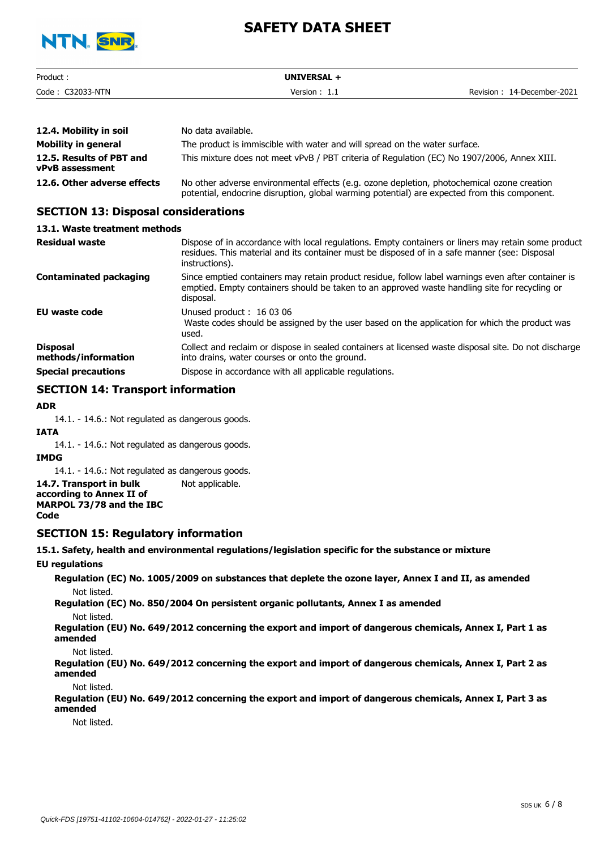

| Product.            | <b>UNIVERSAL</b> |                               |
|---------------------|------------------|-------------------------------|
| Code:<br>C32033-NTN | Version :<br>.   | 14-December-2021<br>Revision: |

| 12.4. Mobility in soil                      | No data available.                                                                                                                                                                         |
|---------------------------------------------|--------------------------------------------------------------------------------------------------------------------------------------------------------------------------------------------|
| Mobility in general                         | The product is immiscible with water and will spread on the water surface.                                                                                                                 |
| 12.5. Results of PBT and<br>vPvB assessment | This mixture does not meet vPvB / PBT criteria of Regulation (EC) No 1907/2006, Annex XIII.                                                                                                |
| 12.6. Other adverse effects                 | No other adverse environmental effects (e.g. ozone depletion, photochemical ozone creation<br>potential, endocrine disruption, global warming potential) are expected from this component. |

### **SECTION 13: Disposal considerations**

**13.1. Waste treatment methods**

| <b>Residual waste</b>                  | Dispose of in accordance with local regulations. Empty containers or liners may retain some product<br>residues. This material and its container must be disposed of in a safe manner (see: Disposal<br>instructions). |
|----------------------------------------|------------------------------------------------------------------------------------------------------------------------------------------------------------------------------------------------------------------------|
| Contaminated packaging                 | Since emptied containers may retain product residue, follow label warnings even after container is<br>emptied. Empty containers should be taken to an approved waste handling site for recycling or<br>disposal.       |
| <b>EU waste code</b>                   | Unused product: 16 03 06<br>Waste codes should be assigned by the user based on the application for which the product was<br>used.                                                                                     |
| <b>Disposal</b><br>methods/information | Collect and reclaim or dispose in sealed containers at licensed waste disposal site. Do not discharge<br>into drains, water courses or onto the ground.                                                                |
| <b>Special precautions</b>             | Dispose in accordance with all applicable regulations.                                                                                                                                                                 |

# **SECTION 14: Transport information**

#### **ADR**

14.1. - 14.6.: Not regulated as dangerous goods.

#### **IATA**

14.1. - 14.6.: Not regulated as dangerous goods.

#### **IMDG**

14.1. - 14.6.: Not regulated as dangerous goods.

**14.7. Transport in bulk** Not applicable. **according to Annex II of MARPOL 73/78 and the IBC Code**

#### **SECTION 15: Regulatory information**

**15.1. Safety, health and environmental regulations/legislation specific for the substance or mixture**

**EU regulations**

**Regulation (EC) No. 1005/2009 on substances that deplete the ozone layer, Annex I and II, as amended** Not listed.

**Regulation (EC) No. 850/2004 On persistent organic pollutants, Annex I as amended**

Not listed.

**Regulation (EU) No. 649/2012 concerning the export and import of dangerous chemicals, Annex I, Part 1 as amended**

Not listed.

**Regulation (EU) No. 649/2012 concerning the export and import of dangerous chemicals, Annex I, Part 2 as amended**

Not listed.

**Regulation (EU) No. 649/2012 concerning the export and import of dangerous chemicals, Annex I, Part 3 as amended**

Not listed.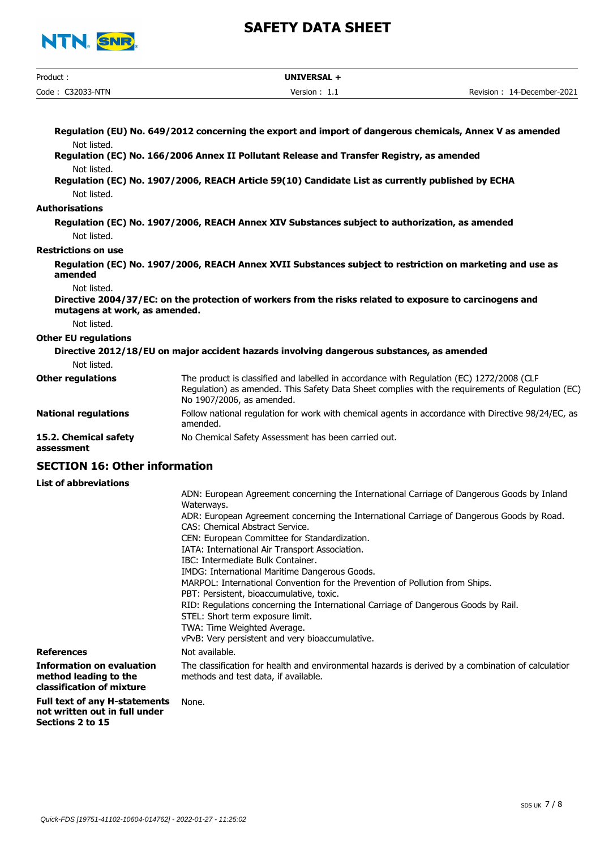

| Product:                            | UNIVERSAL +                                                                                                                                                                                                               |                            |
|-------------------------------------|---------------------------------------------------------------------------------------------------------------------------------------------------------------------------------------------------------------------------|----------------------------|
| Code: C32033-NTN                    | Version: 1.1                                                                                                                                                                                                              | Revision: 14-December-2021 |
|                                     |                                                                                                                                                                                                                           |                            |
|                                     | Regulation (EU) No. 649/2012 concerning the export and import of dangerous chemicals, Annex V as amended                                                                                                                  |                            |
| Not listed.                         |                                                                                                                                                                                                                           |                            |
|                                     | Regulation (EC) No. 166/2006 Annex II Pollutant Release and Transfer Registry, as amended                                                                                                                                 |                            |
| Not listed.                         |                                                                                                                                                                                                                           |                            |
|                                     | Regulation (EC) No. 1907/2006, REACH Article 59(10) Candidate List as currently published by ECHA                                                                                                                         |                            |
| Not listed.                         |                                                                                                                                                                                                                           |                            |
| <b>Authorisations</b>               |                                                                                                                                                                                                                           |                            |
|                                     | Regulation (EC) No. 1907/2006, REACH Annex XIV Substances subject to authorization, as amended                                                                                                                            |                            |
| Not listed.                         |                                                                                                                                                                                                                           |                            |
| <b>Restrictions on use</b>          |                                                                                                                                                                                                                           |                            |
| amended                             | Regulation (EC) No. 1907/2006, REACH Annex XVII Substances subject to restriction on marketing and use as                                                                                                                 |                            |
| Not listed.                         |                                                                                                                                                                                                                           |                            |
| mutagens at work, as amended.       | Directive 2004/37/EC: on the protection of workers from the risks related to exposure to carcinogens and                                                                                                                  |                            |
| Not listed.                         |                                                                                                                                                                                                                           |                            |
| <b>Other EU regulations</b>         |                                                                                                                                                                                                                           |                            |
|                                     | Directive 2012/18/EU on major accident hazards involving dangerous substances, as amended                                                                                                                                 |                            |
| Not listed.                         |                                                                                                                                                                                                                           |                            |
| <b>Other regulations</b>            | The product is classified and labelled in accordance with Regulation (EC) 1272/2008 (CLP<br>Regulation) as amended. This Safety Data Sheet complies with the requirements of Regulation (EC)<br>No 1907/2006, as amended. |                            |
| <b>National regulations</b>         | Follow national regulation for work with chemical agents in accordance with Directive 98/24/EC, as<br>amended.                                                                                                            |                            |
| 15.2. Chemical safety<br>assessment | No Chemical Safety Assessment has been carried out.                                                                                                                                                                       |                            |

# **SECTION 16: Other information**

**List of abbreviations**

| евс ог арргсуюстонз                                                                    |                                                                                                                                            |
|----------------------------------------------------------------------------------------|--------------------------------------------------------------------------------------------------------------------------------------------|
|                                                                                        | ADN: European Agreement concerning the International Carriage of Dangerous Goods by Inland<br>Waterways.                                   |
|                                                                                        | ADR: European Agreement concerning the International Carriage of Dangerous Goods by Road.<br>CAS: Chemical Abstract Service.               |
|                                                                                        | CEN: European Committee for Standardization.                                                                                               |
|                                                                                        | IATA: International Air Transport Association.                                                                                             |
|                                                                                        | IBC: Intermediate Bulk Container.                                                                                                          |
|                                                                                        | IMDG: International Maritime Dangerous Goods.                                                                                              |
|                                                                                        | MARPOL: International Convention for the Prevention of Pollution from Ships.                                                               |
|                                                                                        | PBT: Persistent, bioaccumulative, toxic.                                                                                                   |
|                                                                                        | RID: Regulations concerning the International Carriage of Dangerous Goods by Rail.                                                         |
|                                                                                        | STEL: Short term exposure limit.                                                                                                           |
|                                                                                        | TWA: Time Weighted Average.                                                                                                                |
|                                                                                        | vPvB: Very persistent and very bioaccumulative.                                                                                            |
| <b>References</b>                                                                      | Not available.                                                                                                                             |
| <b>Information on evaluation</b><br>method leading to the<br>classification of mixture | The classification for health and environmental hazards is derived by a combination of calculatior<br>methods and test data, if available. |
| <b>Full text of any H-statements</b>                                                   | None                                                                                                                                       |

#### **Full text of any H-statements** None. **not written out in full under Sections 2 to 15**